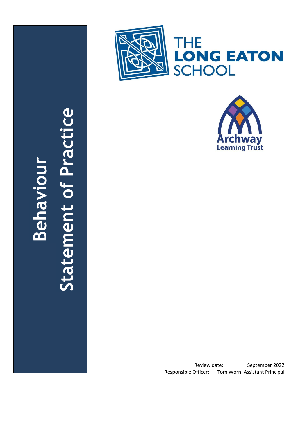





# **Statement of Practice**Statement of Practi **Behaviour**

C

Review date: September 202 2 Responsible Officer: Tom Worn, Assistant Principal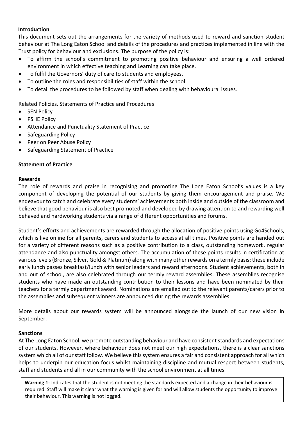#### **Introduction**

This document sets out the arrangements for the variety of methods used to reward and sanction student behaviour at The Long Eaton School and details of the procedures and practices implemented in line with the Trust policy for behaviour and exclusions. The purpose of the policy is:

- To affirm the school's commitment to promoting positive behaviour and ensuring a well ordered environment in which effective teaching and Learning can take place.
- To fulfil the Governors' duty of care to students and employees.
- To outline the roles and responsibilities of staff within the school.
- To detail the procedures to be followed by staff when dealing with behavioural issues.

Related Policies, Statements of Practice and Procedures

- SEN Policy
- PSHE Policy
- Attendance and Punctuality Statement of Practice
- Safeguarding Policy
- Peer on Peer Abuse Policy
- Safeguarding Statement of Practice

## **Statement of Practice**

#### **Rewards**

The role of rewards and praise in recognising and promoting The Long Eaton School's values is a key component of developing the potential of our students by giving them encouragement and praise. We endeavour to catch and celebrate every students' achievements both inside and outside of the classroom and believe that good behaviour is also best promoted and developed by drawing attention to and rewarding well behaved and hardworking students via a range of different opportunities and forums.

Student's efforts and achievements are rewarded through the allocation of positive points using Go4Schools, which is live online for all parents, carers and students to access at all times. Positive points are handed out for a variety of different reasons such as a positive contribution to a class, outstanding homework, regular attendance and also punctuality amongst others. The accumulation of these points results in certification at various levels (Bronze, Silver, Gold & Platinum) along with many other rewards on a termly basis; these include early lunch passes breakfast/lunch with senior leaders and reward afternoons. Student achievements, both in and out of school, are also celebrated through our termly reward assemblies. These assemblies recognise students who have made an outstanding contribution to their lessons and have been nominated by their teachers for a termly department award. Nominations are emailed out to the relevant parents/carers prior to the assemblies and subsequent winners are announced during the rewards assemblies.

More details about our rewards system will be announced alongside the launch of our new vision in September.

## **Sanctions**

At The Long Eaton School, we promote outstanding behaviour and have consistent standards and expectations of our students. However, where behaviour does not meet our high expectations, there is a clear sanctions system which all of our staff follow. We believe this system ensures a fair and consistent approach for all which helps to underpin our education focus whilst maintaining discipline and mutual respect between students, staff and students and all in our community with the school environment at all times.

**Warning 1-** Indicates that the student is not meeting the standards expected and a change in their behaviour is required. Staff will make it clear what the warning is given for and will allow students the opportunity to improve their behaviour. This warning is not logged.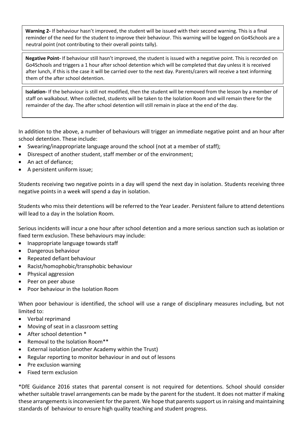**Warning 2-** If behaviour hasn't improved, the student will be issued with their second warning. This is a final reminder of the need for the student to improve their behaviour. This warning will be logged on Go4Schools are a neutral point (not contributing to their overall points tally).

**Negative Point-** If behaviour still hasn't improved, the student is issued with a negative point. This is recorded on Go4Schools and triggers a 1 hour after school detention which will be completed that day unless it is received after lunch, if this is the case it will be carried over to the next day. Parents/carers will receive a text informing them of the after school detention.

**Isolation-** If the behaviour is still not modified, then the student will be removed from the lesson by a member of staff on walkabout. When collected, students will be taken to the Isolation Room and will remain there for the remainder of the day. The after school detention will still remain in place at the end of the day.

In addition to the above, a number of behaviours will trigger an immediate negative point and an hour after school detention. These include:

- Swearing/inappropriate language around the school (not at a member of staff);
- Disrespect of another student, staff member or of the environment;
- An act of defiance;
- A persistent uniform issue;

Students receiving two negative points in a day will spend the next day in isolation. Students receiving three negative points in a week will spend a day in isolation.

Students who miss their detentions will be referred to the Year Leader. Persistent failure to attend detentions will lead to a day in the Isolation Room.

Serious incidents will incur a one hour after school detention and a more serious sanction such as isolation or fixed term exclusion. These behaviours may include:

- Inappropriate language towards staff
- Dangerous behaviour
- Repeated defiant behaviour
- Racist/homophobic/transphobic behaviour
- Physical aggression
- Peer on peer abuse
- Poor behaviour in the Isolation Room

When poor behaviour is identified, the school will use a range of disciplinary measures including, but not limited to:

- Verbal reprimand
- Moving of seat in a classroom setting
- After school detention \*
- Removal to the Isolation Room\*\*
- External isolation (another Academy within the Trust)
- Regular reporting to monitor behaviour in and out of lessons
- Pre exclusion warning
- Fixed term exclusion

\*DfE Guidance 2016 states that parental consent is not required for detentions. School should consider whether suitable travel arrangements can be made by the parent for the student. It does not matter if making these arrangements is inconvenient for the parent. We hope that parents support us in raising and maintaining standards of behaviour to ensure high quality teaching and student progress.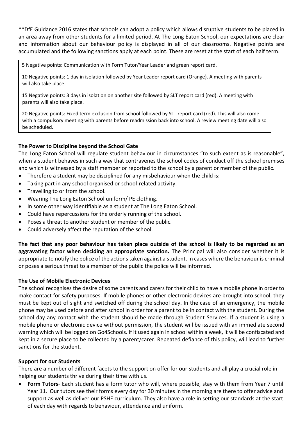\*\*DfE Guidance 2016 states that schools can adopt a policy which allows disruptive students to be placed in an area away from other students for a limited period. At The Long Eaton School, our expectations are clear and information about our behaviour policy is displayed in all of our classrooms. Negative points are accumulated and the following sanctions apply at each point. These are reset at the start of each half term.

5 Negative points: Communication with Form Tutor/Year Leader and green report card.

10 Negative points: 1 day in isolation followed by Year Leader report card (Orange). A meeting with parents will also take place.

15 Negative points: 3 days in isolation on another site followed by SLT report card (red). A meeting with parents will also take place.

20 Negative points: Fixed term exclusion from school followed by SLT report card (red). This will also come with a compulsory meeting with parents before readmission back into school. A review meeting date will also be scheduled.

#### **The Power to Discipline beyond the School Gate**

The Long Eaton School will regulate student behaviour in circumstances "to such extent as is reasonable", when a student behaves in such a way that contravenes the school codes of conduct off the school premises and which is witnessed by a staff member or reported to the school by a parent or member of the public.

- Therefore a student may be disciplined for any misbehaviour when the child is:
- Taking part in any school organised or school-related activity.
- Travelling to or from the school.
- Wearing The Long Eaton School uniform/ PE clothing.
- In some other way identifiable as a student at The Long Eaton School.
- Could have repercussions for the orderly running of the school.
- Poses a threat to another student or member of the public.
- Could adversely affect the reputation of the school.

**The fact that any poor behaviour has taken place outside of the school is likely to be regarded as an aggravating factor when deciding an appropriate sanction.** The Principal will also consider whether it is appropriate to notify the police of the actions taken against a student. In cases where the behaviour is criminal or poses a serious threat to a member of the public the police will be informed.

#### **The Use of Mobile Electronic Devices**

The school recognises the desire of some parents and carers for their child to have a mobile phone in order to make contact for safety purposes. If mobile phones or other electronic devices are brought into school, they must be kept out of sight and switched off during the school day. In the case of an emergency, the mobile phone may be used before and after school in order for a parent to be in contact with the student. During the school day any contact with the student should be made through Student Services. If a student is using a mobile phone or electronic device without permission, the student will be issued with an immediate second warning which will be logged on Go4Schools. If it used again in school within a week, it will be confiscated and kept in a secure place to be collected by a parent/carer. Repeated defiance of this policy, will lead to further sanctions for the student.

#### **Support for our Students**

There are a number of different facets to the support on offer for our students and all play a crucial role in helping our students thrive during their time with us.

 **Form Tutors**- Each student has a form tutor who will, where possible, stay with them from Year 7 until Year 11. Our tutors see their forms every day for 30 minutes in the morning are there to offer advice and support as well as deliver our PSHE curriculum. They also have a role in setting our standards at the start of each day with regards to behaviour, attendance and uniform.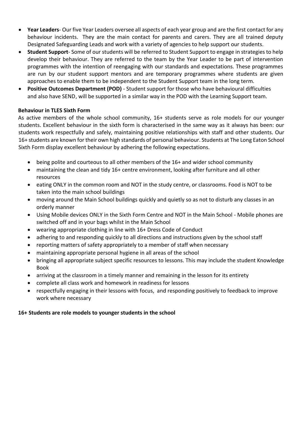- **Year Leaders** Our five Year Leaders oversee all aspects of each year group and are the first contact for any behaviour incidents. They are the main contact for parents and carers. They are all trained deputy Designated Safeguarding Leads and work with a variety of agencies to help support our students.
- **Student Support** Some of our students will be referred to Student Support to engage in strategies to help develop their behaviour. They are referred to the team by the Year Leader to be part of intervention programmes with the intention of reengaging with our standards and expectations. These programmes are run by our student support mentors and are temporary programmes where students are given approaches to enable them to be independent to the Student Support team in the long term.
- **Positive Outcomes Department (POD)** Student support for those who have behavioural difficulties and also have SEND, will be supported in a similar way in the POD with the Learning Support team.

## **Behaviour in TLES Sixth Form**

As active members of the whole school community, 16+ students serve as role models for our younger students. Excellent behaviour in the sixth form is characterised in the same way as it always has been: our students work respectfully and safely, maintaining positive relationships with staff and other students. Our 16+ students are known for their own high standards of personal behaviour. Students at The Long Eaton School Sixth Form display excellent behaviour by adhering the following expectations.

- being polite and courteous to all other members of the 16+ and wider school community
- maintaining the clean and tidy 16+ centre environment, looking after furniture and all other resources
- eating ONLY in the common room and NOT in the study centre, or classrooms. Food is NOT to be taken into the main school buildings
- moving around the Main School buildings quickly and quietly so as not to disturb any classes in an orderly manner
- Using Mobile devices ONLY in the Sixth Form Centre and NOT in the Main School Mobile phones are switched off and in your bags whilst in the Main School
- wearing appropriate clothing in line with 16+ Dress Code of Conduct
- adhering to and responding quickly to all directions and instructions given by the school staff
- reporting matters of safety appropriately to a member of staff when necessary
- maintaining appropriate personal hygiene in all areas of the school
- bringing all appropriate subject specific resources to lessons. This may include the student Knowledge Book
- arriving at the classroom in a timely manner and remaining in the lesson for its entirety
- complete all class work and homework in readiness for lessons
- respectfully engaging in their lessons with focus, and responding positively to feedback to improve work where necessary

## **16+ Students are role models to younger students in the school**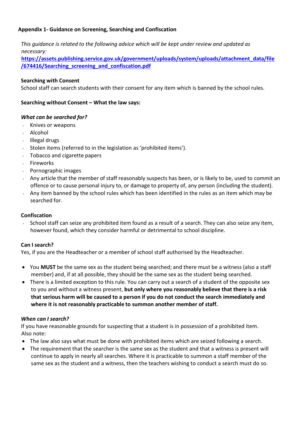## **Appendix 1- Guidance on Screening, Searching and Confiscation**

*This guidance is related to the following advice which will be kept under review and updated as necessary:* 

**[https://assets.publishing.service.gov.uk/government/uploads/system/uploads/attachment\\_data/file](https://assets.publishing.service.gov.uk/government/uploads/system/uploads/attachment_data/file/674416/Searching_screening_and_confiscation.pdf) [/674416/Searching\\_screening\\_and\\_confiscation.pdf](https://assets.publishing.service.gov.uk/government/uploads/system/uploads/attachment_data/file/674416/Searching_screening_and_confiscation.pdf)**

## **Searching with Consent**

School staff can search students with their consent for any item which is banned by the school rules.

#### **Searching without Consent – What the law says:**

#### *What can be searched for?*

- Knives or weapons  $\mathbf{v}$
- Alcohol
- $\cdot$  Illegal drugs
- $\sim$  Stolen items (referred to in the legislation as 'prohibited items').
- Tobacco and cigarette papers
- Fireworks
- $\sqrt{ }$  Pornographic images
- Any article that the member of staff reasonably suspects has been, or is likely to be, used to commit an offence or to cause personal injury to, or damage to property of, any person (including the student).
- Any item banned by the school rules which has been identified in the rules as an item which may be searched for.

#### **Confiscation**

School staff can seize any prohibited item found as a result of a search. They can also seize any item, however found, which they consider harmful or detrimental to school discipline.

#### **Can I search?**

Yes, if you are the Headteacher or a member of school staff authorised by the Headteacher.

- You **MUST** be the same sex as the student being searched; and there must be a witness (also a staff member) and, if at all possible, they should be the same sex as the student being searched.
- There is a limited exception to this rule. You can carry out a search of a student of the opposite sex to you and without a witness present, **but only where you reasonably believe that there is a risk that serious harm will be caused to a person if you do not conduct the search immediately and where it is not reasonably practicable to summon another member of staff.**

#### *When can I search?*

If you have reasonable grounds for suspecting that a student is in possession of a prohibited item. Also note:

- The law also says what must be done with prohibited items which are seized following a search.
- The requirement that the searcher is the same sex as the student and that a witness is present will continue to apply in nearly all searches. Where it is practicable to summon a staff member of the same sex as the student and a witness, then the teachers wishing to conduct a search must do so.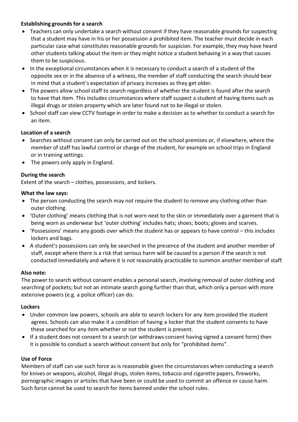## **Establishing grounds for a search**

- Teachers can only undertake a search without consent if they have reasonable grounds for suspecting that a student may have in his or her possession a prohibited item. The teacher must decide in each particular case what constitutes reasonable grounds for suspicion. For example, they may have heard other students talking about the item or they might notice a student behaving in a way that causes them to be suspicious.
- In the exceptional circumstances when it is necessary to conduct a search of a student of the opposite sex or in the absence of a witness, the member of staff conducting the search should bear in mind that a student's expectation of privacy increases as they get older.
- The powers allow school staff to search regardless of whether the student is found after the search to have that item. This includes circumstances where staff suspect a student of having items such as illegal drugs or stolen property which are later found not to be illegal or stolen.
- School staff can view CCTV footage in order to make a decision as to whether to conduct a search for an item.

## **Location of a search**

- Searches without consent can only be carried out on the school premises or, if elsewhere, where the member of staff has lawful control or charge of the student, for example on school trips in England or in training settings.
- The powers only apply in England.

## **During the search**

Extent of the search – clothes, possessions, and lockers.

#### **What the law says:**

- The person conducting the search may not require the student to remove any clothing other than outer clothing.
- 'Outer clothing' means clothing that is not worn next to the skin or immediately over a garment that is being worn as underwear but 'outer clothing' includes hats; shoes; boots; gloves and scarves.
- 'Possessions' means any goods over which the student has or appears to have control this includes lockers and bags.
- A student's possessions can only be searched in the presence of the student and another member of staff, except where there is a risk that serious harm will be caused to a person if the search is not conducted immediately and where it is not reasonably practicable to summon another member of staff.

## **Also note:**

The power to search without consent enables a personal search, involving removal of outer clothing and searching of pockets; but not an intimate search going further than that, which only a person with more extensive powers (e.g. a police officer) can do.

## **Lockers**

- Under common law powers, schools are able to search lockers for any item provided the student agrees. Schools can also make it a condition of having a locker that the student consents to have these searched for any item whether or not the student is present.
- If a student does not consent to a search (or withdraws consent having signed a consent form) then it is possible to conduct a search without consent but only for "prohibited items".

## **Use of Force**

Members of staff can use such force as is reasonable given the circumstances when conducting a search for knives or weapons, alcohol, illegal drugs, stolen items, tobacco and cigarette papers, fireworks, pornographic images or articles that have been or could be used to commit an offence or cause harm. Such force cannot be used to search for items banned under the school rules.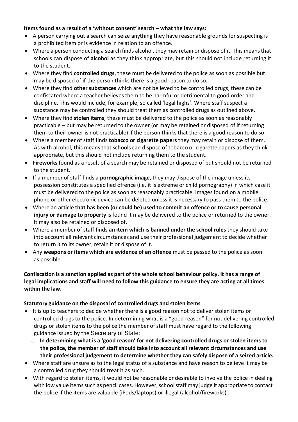## **Items found as a result of a 'without consent' search – what the law says:**

- A person carrying out a search can seize anything they have reasonable grounds for suspecting is a prohibited item or is evidence in relation to an offence.
- Where a person conducting a search finds alcohol, they may retain or dispose of it. This meansthat schools can dispose of **alcohol** as they think appropriate, but this should not include returning it to the student.
- Where they find **controlled drugs**, these must be delivered to the police as soon as possible but may be disposed of if the person thinks there is a good reason to do so.
- Where they find **other substances** which are not believed to be controlled drugs, these can be confiscated where a teacher believes them to be harmful or detrimental to good order and discipline. This would include, for example, so called 'legal highs'. Where staff suspect a substance may be controlled they should treat them as controlled drugs as outlined above.
- Where they find **stolen items**, these must be delivered to the police as soon as reasonably practicable – but may be returned to the owner (or may be retained or disposed of if returning them to their owner is not practicable) if the person thinks that there is a good reason to do so.
- Where a member of staff finds **tobacco or cigarette papers** they may retain or dispose of them. As with alcohol, this means that schools can dispose of tobacco or cigarette papers as they think appropriate, but this should not include returning them to the student.
- F**ireworks** found as a result of a search may be retained or disposed of but should not be returned to the student.
- If a member of staff finds a **pornographic image**, they may dispose of the image unless its possession constitutes a specified offence (i.e. it is extreme or child pornography) in which case it must be delivered to the police as soon as reasonably practicable. Images found on a mobile phone or other electronic device can be deleted unless it is necessary to pass them to the police.
- Where an **article that has been (or could be) used to commit an offence or to cause personal injury or damage to property** is found it may be delivered to the police or returned to the owner. It may also be retained or disposed of.
- Where a member of staff finds **an item which is banned under the school rules** they should take into account all relevant circumstances and use their professional judgement to decide whether to return it to its owner, retain it or dispose of it.
- Any **weapons or items which are evidence of an offence** must be passed to the police as soon as possible.

## **Confiscation is a sanction applied as part of the whole school behaviour policy. It has a range of legal implications and staff will need to follow this guidance to ensure they are acting at all times within the law.**

# **Statutory guidance on the disposal of controlled drugs and stolen items**

- It is up to teachers to decide whether there is a good reason not to deliver stolen items or controlled drugs to the police. In determining what is a "good reason" for not delivering controlled drugs or stolen items to the police the member of staff must have regard to the following guidance issued by the Secretary of State:
	- o **In determining what is a 'good reason' for not delivering controlled drugs or stolen items to the police, the member of staff should take into account all relevant circumstances and use their professional judgement to determine whether they can safely dispose of a seized article.**
- Where staff are unsure as to the legal status of a substance and have reason to believe it may be a controlled drug they should treat it as such.
- With regard to stolen items, it would not be reasonable or desirable to involve the police in dealing with low value items such as pencil cases. However, school staff may judge it appropriate to contact the police if the items are valuable (iPods/laptops) or illegal (alcohol/fireworks).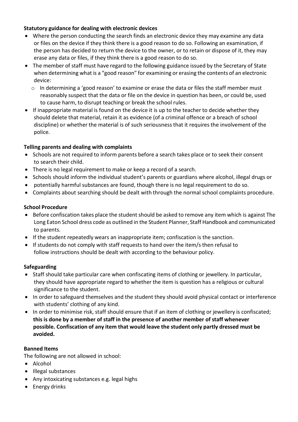## **Statutory guidance for dealing with electronic devices**

- Where the person conducting the search finds an electronic device they may examine any data or files on the device if they think there is a good reason to do so. Following an examination, if the person has decided to return the device to the owner, or to retain or dispose of it, they may erase any data or files, if they think there is a good reason to do so.
- The member of staff must have regard to the following guidance issued by the Secretary of State when determining what is a "good reason" for examining or erasing the contents of an electronic device:
	- o In determining a 'good reason' to examine or erase the data or files the staff member must reasonably suspect that the data or file on the device in question has been, or could be, used to cause harm, to disrupt teaching or break the school rules.
- If inappropriate material is found on the device it is up to the teacher to decide whether they should delete that material, retain it as evidence (of a criminal offence or a breach of school discipline) or whether the material is of such seriousnessthat it requires the involvement of the police.

# **Telling parents and dealing with complaints**

- Schools are not required to inform parents before a search takes place or to seek their consent to search their child.
- There is no legal requirement to make or keep a record of a search.
- Schools should inform the individual student's parents or guardians where alcohol, illegal drugs or
- potentially harmful substances are found, though there is no legal requirement to do so.
- Complaints about searching should be dealt with through the normal school complaints procedure.

# **School Procedure**

- Before confiscation takes place the student should be asked to remove any item which is against The Long Eaton School dress code as outlined in the Student Planner, Staff Handbook and communicated to parents.
- If the student repeatedly wears an inappropriate item; confiscation is the sanction.
- If students do not comply with staff requests to hand over the item/s then refusal to follow instructions should be dealt with according to the behaviour policy.

# **Safeguarding**

- Staff should take particular care when confiscating items of clothing or jewellery. In particular, they should have appropriate regard to whether the item is question has a religious or cultural significance to the student.
- In order to safeguard themselves and the student they should avoid physical contact or interference with students' clothing of any kind.
- In order to minimise risk, staff should ensure that if an item of clothing or jewellery is confiscated; **this is done by a member of staff in the presence of another member of staff whenever possible. Confiscation of any item that would leave the student only partly dressed must be avoided.**

# **Banned Items**

The following are not allowed in school:

- Alcohol
- Illegal substances
- Any intoxicating substances e.g. legal highs
- Energy drinks